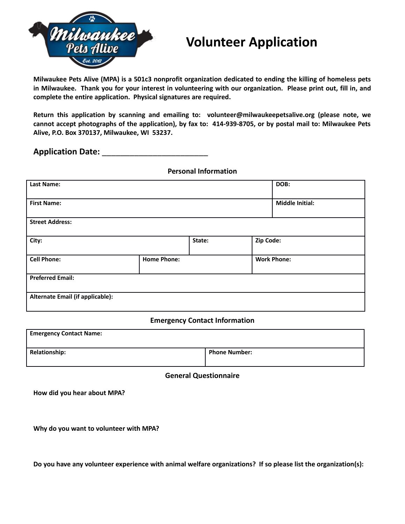

# **Volunteer Application**

**Milwaukee Pets Alive (MPA) is a 501c3 nonprofit organization dedicated to ending the killing of homeless pets in Milwaukee. Thank you for your interest in volunteering with our organization. Please print out, fill in, and complete the entire application. Physical signatures are required.** 

**Return this application by scanning and emailing to: volunteer@milwaukeepetsalive.org (please note, we cannot accept photographs of the application), by fax to: 414-939-8705, or by postal mail to: Milwaukee Pets Alive, P.O. Box 370137, Milwaukee, WI 53237.**

**Application Date:** \_\_\_\_\_\_\_\_\_\_\_\_\_\_\_\_\_\_\_\_\_\_\_

**Personal Information**

| Last Name:                       |                    |        | DOB: |                        |  |
|----------------------------------|--------------------|--------|------|------------------------|--|
| <b>First Name:</b>               |                    |        |      | <b>Middle Initial:</b> |  |
| <b>Street Address:</b>           |                    |        |      |                        |  |
| City:                            |                    | State: |      | Zip Code:              |  |
| <b>Cell Phone:</b>               | <b>Home Phone:</b> |        |      | <b>Work Phone:</b>     |  |
| <b>Preferred Email:</b>          |                    |        |      |                        |  |
| Alternate Email (if applicable): |                    |        |      |                        |  |

# **Emergency Contact Information**

| <b>Emergency Contact Name:</b> |                      |
|--------------------------------|----------------------|
| <b>Relationship:</b>           | <b>Phone Number:</b> |

# **General Questionnaire**

**How did you hear about MPA?**

**Why do you want to volunteer with MPA?**

**Do you have any volunteer experience with animal welfare organizations? If so please list the organization(s):**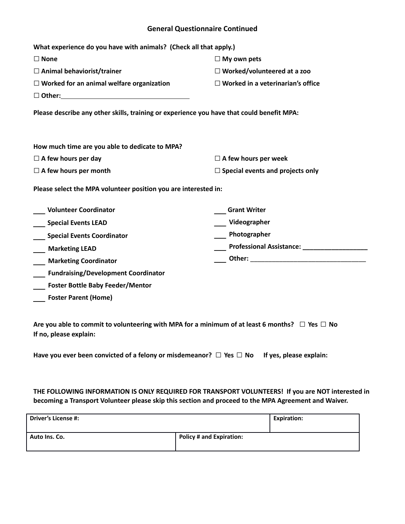## **General Questionnaire Continued**

| What experience do you have with animals? (Check all that apply.)                         |                                          |  |  |
|-------------------------------------------------------------------------------------------|------------------------------------------|--|--|
| $\Box$ None                                                                               | $\Box$ My own pets                       |  |  |
| $\Box$ Animal behaviorist/trainer                                                         | $\Box$ Worked/volunteered at a zoo       |  |  |
| $\Box$ Worked for an animal welfare organization                                          | $\Box$ Worked in a veterinarian's office |  |  |
|                                                                                           |                                          |  |  |
| Please describe any other skills, training or experience you have that could benefit MPA: |                                          |  |  |
| How much time are you able to dedicate to MPA?                                            |                                          |  |  |
| $\Box$ A few hours per day                                                                | $\Box$ A few hours per week              |  |  |
| $\Box$ A few hours per month                                                              | $\Box$ Special events and projects only  |  |  |
| Please select the MPA volunteer position you are interested in:                           |                                          |  |  |
| <b>Volunteer Coordinator</b>                                                              | <b>Grant Writer</b>                      |  |  |
| <b>Special Events LEAD</b>                                                                | Videographer                             |  |  |
| <b>Special Events Coordinator</b>                                                         | Photographer                             |  |  |
| <b>Marketing LEAD</b>                                                                     |                                          |  |  |
| <b>Marketing Coordinator</b>                                                              |                                          |  |  |
| <b>Fundraising/Development Coordinator</b>                                                |                                          |  |  |
| Foster Bottle Baby Feeder/Mentor                                                          |                                          |  |  |
| <b>Foster Parent (Home)</b>                                                               |                                          |  |  |

**Are you able to commit to volunteering with MPA for a minimum of at least 6 months?** □ **Yes** □ **No If no, please explain:**

**Have you ever been convicted of a felony or misdemeanor?** □ **Yes** □ **No If yes, please explain:**

## **THE FOLLOWING INFORMATION IS ONLY REQUIRED FOR TRANSPORT VOLUNTEERS! If you are NOT interested in becoming a Transport Volunteer please skip this section and proceed to the MPA Agreement and Waiver.**

| <b>Driver's License #:</b> |                                 | <b>Expiration:</b> |
|----------------------------|---------------------------------|--------------------|
| Auto Ins. Co.              | <b>Policy # and Expiration:</b> |                    |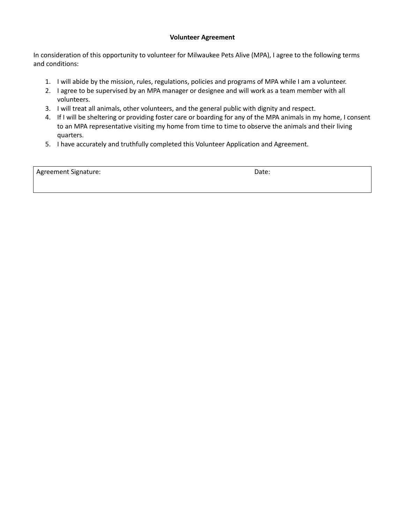#### **Volunteer Agreement**

In consideration of this opportunity to volunteer for Milwaukee Pets Alive (MPA), I agree to the following terms and conditions:

- 1. I will abide by the mission, rules, regulations, policies and programs of MPA while I am a volunteer.
- 2. I agree to be supervised by an MPA manager or designee and will work as a team member with all volunteers.
- 3. I will treat all animals, other volunteers, and the general public with dignity and respect.
- 4. If I will be sheltering or providing foster care or boarding for any of the MPA animals in my home, I consent to an MPA representative visiting my home from time to time to observe the animals and their living quarters.
- 5. I have accurately and truthfully completed this Volunteer Application and Agreement.

Agreement Signature:  $\blacksquare$